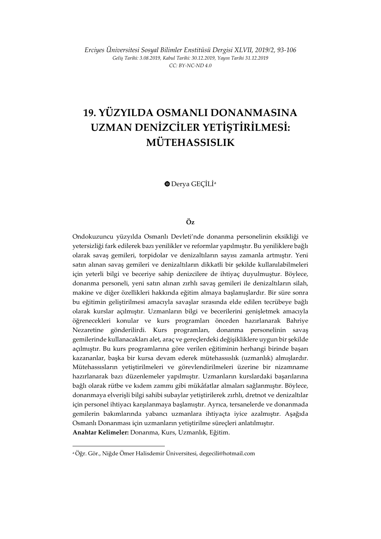*Erciyes Üniversitesi Sosyal Bilimler Enstitüsü Dergisi XLVII, 2019/2, 93-106 Geliş Tarihi: 3.08.2019, Kabul Tarihi: 30.12.2019, Yayın Tarihi 31.12.2019 CC: BY-NC-ND 4.0*

# **19. YÜZYILDA OSMANLI DONANMASINA UZMAN DENİZCİLER YETİŞTİRİLMESİ: MÜTEHASSISLIK**

Derya GEÇİLİ[a](#page-0-0)

## **Öz**

Ondokuzuncu yüzyılda Osmanlı Devleti'nde donanma personelinin eksikliği ve yetersizliği fark edilerek bazı yenilikler ve reformlar yapılmıştır. Bu yeniliklere bağlı olarak savaş gemileri, torpidolar ve denizaltıların sayısı zamanla artmıştır. Yeni satın alınan savaş gemileri ve denizaltıların dikkatli bir şekilde kullanılabilmeleri için yeterli bilgi ve beceriye sahip denizcilere de ihtiyaç duyulmuştur. Böylece, donanma personeli, yeni satın alınan zırhlı savaş gemileri ile denizaltıların silah, makine ve diğer özellikleri hakkında eğitim almaya başlamışlardır. Bir süre sonra bu eğitimin geliştirilmesi amacıyla savaşlar sırasında elde edilen tecrübeye bağlı olarak kurslar açılmıştır. Uzmanların bilgi ve becerilerini genişletmek amacıyla öğrenecekleri konular ve kurs programları önceden hazırlanarak Bahriye Nezaretine gönderilirdi. Kurs programları, donanma personelinin savaş gemilerinde kullanacakları alet, araç ve gereçlerdeki değişikliklere uygun bir şekilde açılmıştır. Bu kurs programlarına göre verilen eğitiminin herhangi birinde başarı kazananlar, başka bir kursa devam ederek mütehassıslık (uzmanlık) almışlardır. Mütehassısların yetiştirilmeleri ve görevlendirilmeleri üzerine bir nizamname hazırlanarak bazı düzenlemeler yapılmıştır. Uzmanların kurslardaki başarılarına bağlı olarak rütbe ve kıdem zammı gibi mükâfatlar almaları sağlanmıştır. Böylece, donanmaya elverişli bilgi sahibi subaylar yetiştirilerek zırhlı, dretnot ve denizaltılar için personel ihtiyacı karşılanmaya başlamıştır. Ayrıca, tersanelerde ve donanmada gemilerin bakımlarında yabancı uzmanlara ihtiyaçta iyice azalmıştır. Aşağıda Osmanlı Donanması için uzmanların yetiştirilme süreçleri anlatılmıştır. **Anahtar Kelimeler:** Donanma, Kurs, Uzmanlık, Eğitim.

<span id="page-0-0"></span><sup>a</sup> Öğr. Gör., Niğde Ömer Halisdemir Üniversitesi, degecili@hotmail.com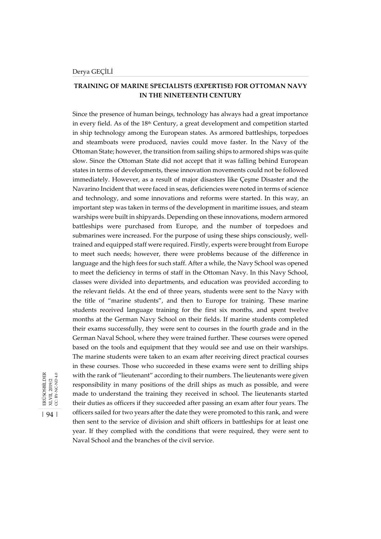# **TRAINING OF MARINE SPECIALISTS (EXPERTISE) FOR OTTOMAN NAVY IN THE NINETEENTH CENTURY**

Since the presence of human beings, technology has always had a great importance in every field. As of the 18th Century, a great development and competition started in ship technology among the European states. As armored battleships, torpedoes and steamboats were produced, navies could move faster. In the Navy of the Ottoman State; however, the transition from sailing ships to armored ships was quite slow. Since the Ottoman State did not accept that it was falling behind European states in terms of developments, these innovation movements could not be followed immediately. However, as a result of major disasters like Çeşme Disaster and the Navarino Incident that were faced in seas, deficiencies were noted in terms of science and technology, and some innovations and reforms were started. In this way, an important step was taken in terms of the development in maritime issues, and steam warships were built in shipyards. Depending on these innovations, modern armored battleships were purchased from Europe, and the number of torpedoes and submarines were increased. For the purpose of using these ships consciously, welltrained and equipped staff were required. Firstly, experts were brought from Europe to meet such needs; however, there were problems because of the difference in language and the high fees for such staff. After a while, the Navy School was opened to meet the deficiency in terms of staff in the Ottoman Navy. In this Navy School, classes were divided into departments, and education was provided according to the relevant fields. At the end of three years, students were sent to the Navy with the title of "marine students", and then to Europe for training. These marine students received language training for the first six months, and spent twelve months at the German Navy School on their fields. If marine students completed their exams successfully, they were sent to courses in the fourth grade and in the German Naval School, where they were trained further. These courses were opened based on the tools and equipment that they would see and use on their warships. The marine students were taken to an exam after receiving direct practical courses in these courses. Those who succeeded in these exams were sent to drilling ships with the rank of "lieutenant" according to their numbers. The lieutenants were given responsibility in many positions of the drill ships as much as possible, and were made to understand the training they received in school. The lieutenants started their duties as officers if they succeeded after passing an exam after four years. The officers sailed for two years after the date they were promoted to this rank, and were then sent to the service of division and shift officers in battleships for at least one year. If they complied with the conditions that were required, they were sent to Naval School and the branches of the civil service.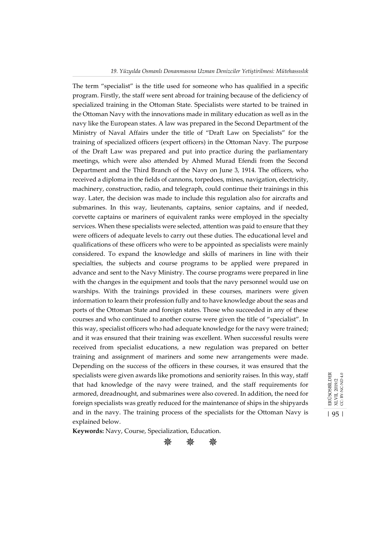#### *19. Yüzyılda Osmanlı Donanmasına Uzman Denizciler Yetiştirilmesi: Mütehassıslık*

The term "specialist" is the title used for someone who has qualified in a specific program. Firstly, the staff were sent abroad for training because of the deficiency of specialized training in the Ottoman State. Specialists were started to be trained in the Ottoman Navy with the innovations made in military education as well as in the navy like the European states. A law was prepared in the Second Department of the Ministry of Naval Affairs under the title of "Draft Law on Specialists" for the training of specialized officers (expert officers) in the Ottoman Navy. The purpose of the Draft Law was prepared and put into practice during the parliamentary meetings, which were also attended by Ahmed Murad Efendi from the Second Department and the Third Branch of the Navy on June 3, 1914. The officers, who received a diploma in the fields of cannons, torpedoes, mines, navigation, electricity, machinery, construction, radio, and telegraph, could continue their trainings in this way. Later, the decision was made to include this regulation also for aircrafts and submarines. In this way, lieutenants, captains, senior captains, and if needed, corvette captains or mariners of equivalent ranks were employed in the specialty services. When these specialists were selected, attention was paid to ensure that they were officers of adequate levels to carry out these duties. The educational level and qualifications of these officers who were to be appointed as specialists were mainly considered. To expand the knowledge and skills of mariners in line with their specialties, the subjects and course programs to be applied were prepared in advance and sent to the Navy Ministry. The course programs were prepared in line with the changes in the equipment and tools that the navy personnel would use on warships. With the trainings provided in these courses, mariners were given information to learn their profession fully and to have knowledge about the seas and ports of the Ottoman State and foreign states. Those who succeeded in any of these courses and who continued to another course were given the title of "specialist". In this way, specialist officers who had adequate knowledge for the navy were trained; and it was ensured that their training was excellent. When successful results were received from specialist educations, a new regulation was prepared on better training and assignment of mariners and some new arrangements were made. Depending on the success of the officers in these courses, it was ensured that the specialists were given awards like promotions and seniority raises. In this way, staff that had knowledge of the navy were trained, and the staff requirements for armored, dreadnought, and submarines were also covered. In addition, the need for foreign specialists was greatly reduced for the maintenance of ships in the shipyards and in the navy. The training process of the specialists for the Ottoman Navy is explained below.

ERÜSOSBİLDER<br>XLVII, 2019/2<br>CC. BY-NC-ND 4.0 ERÜSOSBİLDER CC: BY-NC-ND 4.0 XLVII, 2019/2 | 95 |

**Keywords:** Navy, Course, Specialization, Education.

$$
* * *
$$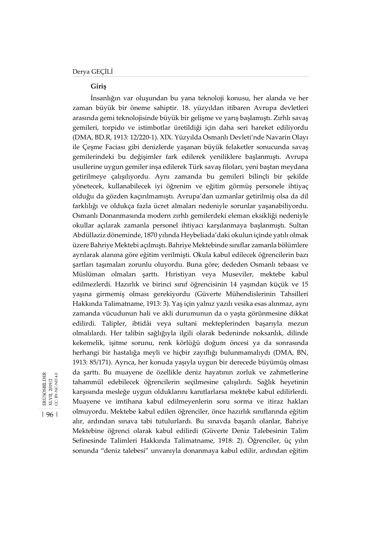| 96 |

ERÜSOSBİLDER<br>XLVII, 2019/2<br>CC. BY-NC-ND 4.0

ERÜSOSBİLDER XLVII, 2019/2 CC: BY-NC-ND 4.0

# **Giriş**

İnsanlığın var oluşundan bu yana teknoloji konusu, her alanda ve her zaman büyük bir öneme sahiptir. 18. yüzyıldan itibaren Avrupa devletleri arasında gemi teknolojisinde büyük bir gelişme ve yarış başlamıştı. Zırhlı savaş gemileri, torpido ve istimbotlar üretildiği için daha seri hareket ediliyordu (DMA, BD.R, 1913: 12/220-1). XIX. Yüzyılda Osmanlı Devleti'nde Navarin Olayı ile Çeşme Faciası gibi denizlerde yaşanan büyük felaketler sonucunda savaş gemilerindeki bu değişimler fark edilerek yeniliklere başlanmıştı. Avrupa usullerine uygun gemiler inşa edilerek Türk savaş filoları, yeni baştan meydana getirilmeye çalışılıyordu. Aynı zamanda bu gemileri bilinçli bir şekilde yönetecek, kullanabilecek iyi öğrenim ve eğitim görmüş personele ihtiyaç olduğu da gözden kaçırılmamıştı. Avrupa'dan uzmanlar getirilmiş olsa da dil farklılığı ve oldukça fazla ücret almaları nedeniyle sorunlar yaşanabiliyordu. Osmanlı Donanmasında modern zırhlı gemilerdeki eleman eksikliği nedeniyle okullar açılarak zamanla personel ihtiyacı karşılanmaya başlanmıştı. Sultan Abdüllaziz döneminde, 1870 yılında Heybeliada'daki okulun içinde yatılı olmak üzere Bahriye Mektebi açılmıştı. Bahriye Mektebinde sınıflar zamanla bölümlere ayrılarak alanına göre eğitim verilmişti. Okula kabul edilecek öğrencilerin bazı şartları taşımaları zorunlu oluyordu. Buna göre; dededen Osmanlı tebaası ve Müslüman olmaları şarttı. Hıristiyan veya Museviler, mektebe kabul edilmezlerdi. Hazırlık ve birinci sınıf öğrencisinin 14 yaşından küçük ve 15 yaşına girmemiş olması gerekiyordu (Güverte Mühendislerinin Tahsilleri Hakkında Talimatname, 1913: 3). Yaş için yalnız yazılı vesika esas alınmaz, aynı zamanda vücudunun hali ve akli durumunun da o yaşta görünmesine dikkat edilirdi. Talipler, ibtidâi veya sultani mekteplerinden başarıyla mezun olmalılardı. Her talibin sağlığıyla ilgili olarak bedeninde noksanlık, dilinde kekemelik, işitme sorunu, renk körlüğü doğum öncesi ya da sonrasında herhangi bir hastalığa meyli ve hiçbir zayıflığı bulunmamalıydı (DMA, BN, 1913: 85/171). Ayrıca, her konuda yaşıyla uygun bir derecede büyümüş olması da şarttı. Bu muayene de özellikle deniz hayatının zorluk ve zahmetlerine tahammül edebilecek öğrencilerin seçilmesine çalışılırdı. Sağlık heyetinin karşısında mesleğe uygun olduklarını kanıtlarlarsa mektebe kabul edilirlerdi. Muayene ve imtihana kabul edilmeyenlerin soru sorma ve itiraz hakları olmuyordu. Mektebe kabul edilen öğrenciler, önce hazırlık sınıflarında eğitim alır, ardından sınava tabi tutulurlardı. Bu sınavda başarılı olanlar, Bahriye Mektebine öğrenci olarak kabul edilirdi (Güverte Deniz Talebesinin Talim Sefinesinde Talimleri Hakkında Talimatname, 1918: 2). Öğrenciler, üç yılın sonunda "deniz talebesi" unvanıyla donanmaya kabul edilir, ardından eğitim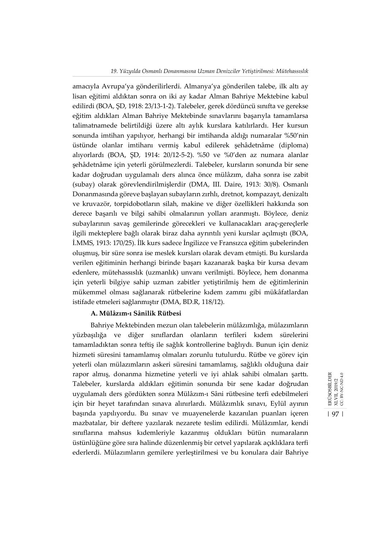#### *19. Yüzyılda Osmanlı Donanmasına Uzman Denizciler Yetiştirilmesi: Mütehassıslık*

amacıyla Avrupa'ya gönderilirlerdi. Almanya'ya gönderilen talebe, ilk altı ay lisan eğitimi aldıktan sonra on iki ay kadar Alman Bahriye Mektebine kabul edilirdi (BOA, ŞD, 1918: 23/13-1-2). Talebeler, gerek dördüncü sınıfta ve gerekse eğitim aldıkları Alman Bahriye Mektebinde sınavlarını başarıyla tamamlarsa talimatnamede belirtildiği üzere altı aylık kurslara katılırlardı. Her kursun sonunda imtihan yapılıyor, herhangi bir imtihanda aldığı numaralar %50'nin üstünde olanlar imtihanı vermiş kabul edilerek şehâdetnâme (diploma) alıyorlardı (BOA, ŞD, 1914: 20/12-5-2). %50 ve %0'den az numara alanlar şehâdetnâme için yeterli görülmezlerdi. Talebeler, kursların sonunda bir sene kadar doğrudan uygulamalı ders alınca önce mülâzım, daha sonra ise zabit (subay) olarak görevlendirilmişlerdir (DMA, III. Daire, 1913: 30/8). Osmanlı Donanmasında göreve başlayan subayların zırhlı, dretnot, kompazayt, denizaltı ve kruvazör, torpidobotların silah, makine ve diğer özellikleri hakkında son derece başarılı ve bilgi sahibi olmalarının yolları aranmıştı. Böylece, deniz subaylarının savaş gemilerinde görecekleri ve kullanacakları araç-gereçlerle ilgili mekteplere bağlı olarak biraz daha ayrıntılı yeni kurslar açılmıştı (BOA, İ.MMS, 1913: 170/25). İlk kurs sadece İngilizce ve Fransızca eğitim şubelerinden oluşmuş, bir süre sonra ise meslek kursları olarak devam etmişti. Bu kurslarda verilen eğitiminin herhangi birinde başarı kazanarak başka bir kursa devam edenlere, mütehassıslık (uzmanlık) unvanı verilmişti. Böylece, hem donanma için yeterli bilgiye sahip uzman zabitler yetiştirilmiş hem de eğitimlerinin mükemmel olması sağlanarak rütbelerine kıdem zammı gibi mükâfatlardan istifade etmeleri sağlanmıştır (DMA, BD.R, 118/12).

## **A. Mülâzım-ı Sânilik Rütbesi**

Bahriye Mektebinden mezun olan talebelerin mülâzımlığa, mülazımların yüzbaşılığa ve diğer sınıflardan olanların terfileri kıdem sürelerini tamamladıktan sonra teftiş ile sağlık kontrollerine bağlıydı. Bunun için deniz hizmeti süresini tamamlamış olmaları zorunlu tutulurdu. Rütbe ve görev için yeterli olan mülazımların askeri süresini tamamlamış, sağlıklı olduğuna dair rapor almış, donanma hizmetine yeterli ve iyi ahlak sahibi olmaları şarttı. Talebeler, kurslarda aldıkları eğitimin sonunda bir sene kadar doğrudan uygulamalı ders gördükten sonra Mülâzım-ı Sâni rütbesine terfi edebilmeleri için bir heyet tarafından sınava alınırlardı. Mülâzımlık sınavı, Eylül ayının başında yapılıyordu. Bu sınav ve muayenelerde kazanılan puanları içeren mazbatalar, bir deftere yazılarak nezarete teslim edilirdi. Mülâzımlar, kendi sınıflarına mahsus kıdemleriyle kazanmış oldukları bütün numaraların üstünlüğüne göre sıra halinde düzenlenmiş bir cetvel yapılarak açıklıklara terfi ederlerdi. Mülazımların gemilere yerleştirilmesi ve bu konulara dair Bahriye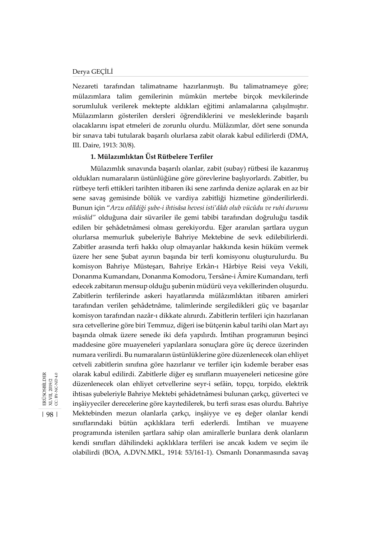#### Derya GEÇİLİ

Nezareti tarafından talimatname hazırlanmıştı. Bu talimatnameye göre; mülazımlara talim gemilerinin mümkün mertebe birçok mevkilerinde sorumluluk verilerek mektepte aldıkları eğitimi anlamalarına çalışılmıştır. Mülazımların gösterilen dersleri öğrendiklerini ve mesleklerinde başarılı olacaklarını ispat etmeleri de zorunlu olurdu. Mülâzımlar, dört sene sonunda bir sınava tabi tutularak başarılı olurlarsa zabit olarak kabul edilirlerdi (DMA, III. Daire, 1913: 30/8).

## **1. Mülazımlıktan Üst Rütbelere Terfiler**

Mülazımlık sınavında başarılı olanlar, zabit (subay) rütbesi ile kazanmış oldukları numaraların üstünlüğüne göre görevlerine başlıyorlardı. Zabitler, bu rütbeye terfi ettikleri tarihten itibaren iki sene zarfında denize açılarak en az bir sene savaş gemisinde bölük ve vardiya zabitliği hizmetine gönderilirlerdi. Bunun için "*Arzu edildiği şube-i ihtisâsa hevesi isti'dâdı olub vücûdu ve ruhi durumu müsâid"* olduğuna dair süvariler ile gemi tabibi tarafından doğruluğu tasdik edilen bir şehâdetnâmesi olması gerekiyordu. Eğer aranılan şartlara uygun olurlarsa memurluk şubeleriyle Bahriye Mektebine de sevk edilebilirlerdi. Zabitler arasında terfi hakkı olup olmayanlar hakkında kesin hüküm vermek üzere her sene Şubat ayının başında bir terfi komisyonu oluşturulurdu. Bu komisyon Bahriye Müsteşarı, Bahriye Erkân-ı Hârbiye Reisi veya Vekili, Donanma Kumandanı, Donanma Komodoru, Tersâne-i Âmire Kumandanı, terfi edecek zabitanın mensup olduğu şubenin müdürü veya vekillerinden oluşurdu. Zabitlerin terfilerinde askeri hayatlarında mülâzımlıktan itibaren amirleri tarafından verilen şehâdetnâme, talimlerinde sergiledikleri güç ve başarılar komisyon tarafından nazâr-ı dikkate alınırdı. Zabitlerin terfileri için hazırlanan sıra cetvellerine göre biri Temmuz, diğeri ise bütçenin kabul tarihi olan Mart ayı başında olmak üzere senede iki defa yapılırdı. İmtihan programının beşinci maddesine göre muayeneleri yapılanlara sonuçlara göre üç derece üzerinden numara verilirdi. Bu numaraların üstünlüklerine göre düzenlenecek olan ehliyet cetveli zabitlerin sınıfına göre hazırlanır ve terfiler için kıdemle beraber esas olarak kabul edilirdi. Zabitlerle diğer eş sınıfların muayeneleri neticesine göre düzenlenecek olan ehliyet cetvellerine seyr-i sefâin, topçu, torpido, elektrik ihtisas şubeleriyle Bahriye Mektebi şehâdetnâmesi bulunan çarkçı, güverteci ve inşâiyyeciler derecelerine göre kayıtedilerek, bu terfi sırası esas olurdu. Bahriye Mektebinden mezun olanlarla çarkçı, inşâiyye ve eş değer olanlar kendi sınıflarındaki bütün açıklıklara terfi ederlerdi. İmtihan ve muayene programında istenilen şartlara sahip olan amirallerle bunlara denk olanların kendi sınıfları dâhilindeki açıklıklara terfileri ise ancak kıdem ve seçim ile olabilirdi (BOA, A.DVN.MKL, 1914: 53/161-1). Osmanlı Donanmasında savaş



| 98 |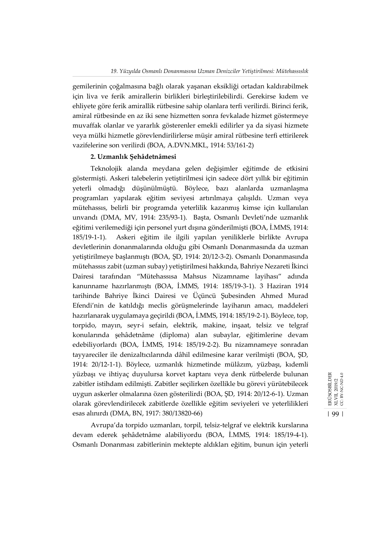gemilerinin çoğalmasına bağlı olarak yaşanan eksikliği ortadan kaldırabilmek için liva ve ferik amirallerin birlikleri birleştirilebilirdi. Gerekirse kıdem ve ehliyete göre ferik amirallik rütbesine sahip olanlara terfi verilirdi. Birinci ferik, amiral rütbesinde en az iki sene hizmetten sonra fevkalade hizmet göstermeye muvaffak olanlar ve yararlık gösterenler emekli edilirler ya da siyasi hizmete veya mülki hizmetle görevlendirilirlerse müşir amiral rütbesine terfi ettirilerek vazifelerine son verilirdi (BOA, A.DVN.MKL, 1914: 53/161-2)

## **2. Uzmanlık Şehâdetnâmesi**

Teknolojik alanda meydana gelen değişimler eğitimde de etkisini göstermişti. Askeri talebelerin yetiştirilmesi için sadece dört yıllık bir eğitimin yeterli olmadığı düşünülmüştü. Böylece, bazı alanlarda uzmanlaşma programları yapılarak eğitim seviyesi artırılmaya çalışıldı. Uzman veya mütehassıs, belirli bir programda yeterlilik kazanmış kimse için kullanılan unvandı (DMA, MV, 1914: 235/93-1). Başta, Osmanlı Devleti'nde uzmanlık eğitimi verilemediği için personel yurt dışına gönderilmişti (BOA, İ.MMS, 1914: 185/19-1-1). Askeri eğitim ile ilgili yapılan yeniliklerle birlikte Avrupa devletlerinin donanmalarında olduğu gibi Osmanlı Donanmasında da uzman yetiştirilmeye başlanmıştı (BOA, ŞD, 1914: 20/12-3-2). Osmanlı Donanmasında mütehassıs zabit (uzman subay) yetiştirilmesi hakkında, Bahriye Nezareti İkinci Dairesi tarafından "Mütehassısa Mahsus Nizamname layihası" adında kanunname hazırlanmıştı (BOA, İ.MMS, 1914: 185/19-3-1). 3 Haziran 1914 tarihinde Bahriye İkinci Dairesi ve Üçüncü Şubesinden Ahmed Murad Efendi'nin de katıldığı meclis görüşmelerinde layihanın amacı, maddeleri hazırlanarak uygulamaya geçirildi (BOA, İ.MMS, 1914: 185/19-2-1). Böylece, top, torpido, mayın, seyr-i sefain, elektrik, makine, inşaat, telsiz ve telgraf konularında şehâdetnâme (diploma) alan subaylar, eğitimlerine devam edebiliyorlardı (BOA, İ.MMS, 1914: 185/19-2-2). Bu nizamnameye sonradan tayyareciler ile denizaltıcılarında dâhil edilmesine karar verilmişti (BOA, ŞD, 1914: 20/12-1-1). Böylece, uzmanlık hizmetinde mülâzım, yüzbaşı, kıdemli yüzbaşı ve ihtiyaç duyulursa korvet kaptanı veya denk rütbelerde bulunan zabitler istihdam edilmişti. Zabitler seçilirken özellikle bu görevi yürütebilecek uygun askerler olmalarına özen gösterilirdi (BOA, ŞD, 1914: 20/12-6-1). Uzman olarak görevlendirilecek zabitlerde özellikle eğitim seviyeleri ve yeterlilikleri esas alınırdı (DMA, BN, 1917: 380/13820-66)

Avrupa'da torpido uzmanları, torpil, telsiz-telgraf ve elektrik kurslarına devam ederek şehâdetnâme alabiliyordu (BOA, İ.MMS, 1914: 185/19-4-1). Osmanlı Donanması zabitlerinin mektepte aldıkları eğitim, bunun için yeterli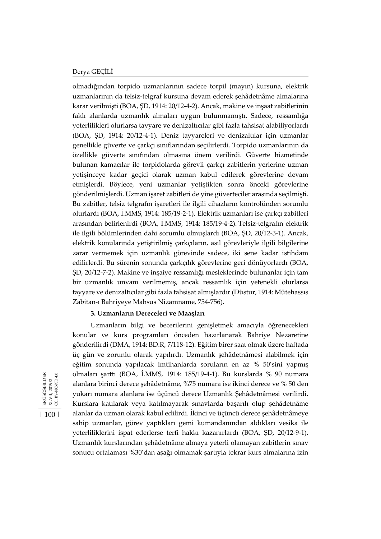### Derya GEÇİLİ

olmadığından torpido uzmanlarının sadece torpil (mayın) kursuna, elektrik uzmanlarının da telsiz-telgraf kursuna devam ederek şehâdetnâme almalarına karar verilmişti (BOA, ŞD, 1914: 20/12-4-2). Ancak, makine ve inşaat zabitlerinin faklı alanlarda uzmanlık almaları uygun bulunmamıştı. Sadece, ressamlığa yeterlilikleri olurlarsa tayyare ve denizaltıcılar gibi fazla tahsisat alabiliyorlardı (BOA, ŞD, 1914: 20/12-4-1). Deniz tayyareleri ve denizaltılar için uzmanlar genellikle güverte ve çarkçı sınıflarından seçilirlerdi. Torpido uzmanlarının da özellikle güverte sınıfından olmasına önem verilirdi. Güverte hizmetinde bulunan kamacılar ile torpidolarda görevli çarkçı zabitlerin yerlerine uzman yetişinceye kadar geçici olarak uzman kabul edilerek görevlerine devam etmişlerdi. Böylece, yeni uzmanlar yetiştikten sonra önceki görevlerine gönderilmişlerdi. Uzman işaret zabitleri de yine güverteciler arasında seçilmişti. Bu zabitler, telsiz telgrafın işaretleri ile ilgili cihazların kontrolünden sorumlu olurlardı (BOA, İ.MMS, 1914: 185/19-2-1). Elektrik uzmanları ise çarkçı zabitleri arasından belirlenirdi (BOA, İ.MMS, 1914: 185/19-4-2). Telsiz-telgrafın elektrik ile ilgili bölümlerinden dahi sorumlu olmuşlardı (BOA, ŞD, 20/12-3-1). Ancak, elektrik konularında yetiştirilmiş çarkçıların, asıl görevleriyle ilgili bilgilerine zarar vermemek için uzmanlık görevinde sadece, iki sene kadar istihdam edilirlerdi. Bu sürenin sonunda çarkçılık görevlerine geri dönüyorlardı (BOA, ŞD, 20/12-7-2). Makine ve inşaiye ressamlığı mesleklerinde bulunanlar için tam bir uzmanlık unvanı verilmemiş, ancak ressamlık için yetenekli olurlarsa tayyare ve denizaltıcılar gibi fazla tahsisat almışlardır (Düstur, 1914: Mütehassıs Zabitan-ı Bahriyeye Mahsus Nizamname, 754-756).

## **3. Uzmanların Dereceleri ve Maaşları**

Uzmanların bilgi ve becerilerini genişletmek amacıyla öğrenecekleri konular ve kurs programları önceden hazırlanarak Bahriye Nezaretine gönderilirdi (DMA, 1914: BD.R, 7/118-12). Eğitim birer saat olmak üzere haftada üç gün ve zorunlu olarak yapılırdı. Uzmanlık şehâdetnâmesi alabilmek için eğitim sonunda yapılacak imtihanlarda soruların en az % 50'sini yapmış olmaları şarttı (BOA, İ.MMS, 1914: 185/19-4-1). Bu kurslarda % 90 numara alanlara birinci derece şehâdetnâme, %75 numara ise ikinci derece ve % 50 den yukarı numara alanlara ise üçüncü derece Uzmanlık Şehâdetnâmesi verilirdi. Kurslara katılarak veya katılmayarak sınavlarda başarılı olup şehâdetnâme alanlar da uzman olarak kabul edilirdi. İkinci ve üçüncü derece şehâdetnâmeye sahip uzmanlar, görev yaptıkları gemi kumandanından aldıkları vesika ile yeterliliklerini ispat ederlerse terfi hakkı kazanırlardı (BOA, ŞD, 20/12-9-1). Uzmanlık kurslarından şehâdetnâme almaya yeterli olamayan zabitlerin sınav sonucu ortalaması %30'dan aşağı olmamak şartıyla tekrar kurs almalarına izin

ERÜSOSBİLDER<br>XLVII, 2019/2<br>CC. BY-NC-ND 4.0 ERÜSOSBİLDER CC: BY-NC-ND 4.0 XLVII, 2019/2

| 100 |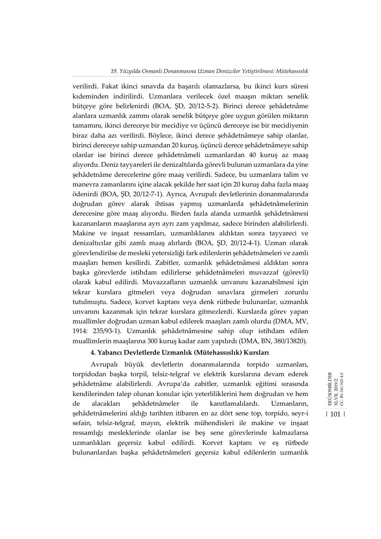#### *19. Yüzyılda Osmanlı Donanmasına Uzman Denizciler Yetiştirilmesi: Mütehassıslık*

verilirdi. Fakat ikinci sınavda da başarılı olamazlarsa, bu ikinci kurs süresi kıdeminden indirilirdi. Uzmanlara verilecek özel maaşın miktarı senelik bütçeye göre belirlenirdi (BOA, ŞD, 20/12-5-2). Birinci derece şehâdetnâme alanlara uzmanlık zammı olarak senelik bütçeye göre uygun görülen miktarın tamamını, ikinci dereceye bir mecidiye ve üçüncü dereceye ise bir mecidiyenin biraz daha azı verilirdi. Böylece, ikinci derece şehâdetnâmeye sahip olanlar, birinci dereceye sahip uzmandan 20 kuruş, üçüncü derece şehâdetnâmeye sahip olanlar ise birinci derece şehâdetnâmeli uzmanlardan 40 kuruş az maaş alıyordu. Deniz tayyareleri ile denizaltılarda görevli bulunan uzmanlara da yine şehâdetnâme derecelerine göre maaş verilirdi. Sadece, bu uzmanlara talim ve manevra zamanlarını içine alacak şekilde her saat için 20 kuruş daha fazla maaş ödenirdi (BOA, ŞD, 20/12-7-1). Ayrıca, Avrupalı devletlerinin donanmalarında doğrudan görev alarak ihtisas yapmış uzmanlarda şehâdetnâmelerinin derecesine göre maaş alıyordu. Birden fazla alanda uzmanlık şehâdetnâmesi kazananların maaşlarına ayrı ayrı zam yapılmaz, sadece birinden alabilirlerdi. Makine ve inşaat ressamları, uzmanlıklarını aldıktan sonra tayyareci ve denizaltıcılar gibi zamlı maaş alırlardı (BOA, ŞD, 20/12-4-1). Uzman olarak görevlendirilse de mesleki yetersizliği fark edilenlerin şehâdetnâmeleri ve zamlı maaşları hemen kesilirdi. Zabitler, uzmanlık şehâdetnâmesi aldıktan sonra başka görevlerde istihdam edilirlerse şehâdetnâmeleri muvazzaf (görevli) olarak kabul edilirdi. Muvazzafların uzmanlık unvanını kazanabilmesi için tekrar kurslara gitmeleri veya doğrudan sınavlara girmeleri zorunlu tutulmuştu. Sadece, korvet kaptanı veya denk rütbede bulunanlar, uzmanlık unvanını kazanmak için tekrar kurslara gitmezlerdi. Kurslarda görev yapan muallimler doğrudan uzman kabul edilerek maaşları zamlı olurdu (DMA, MV, 1914: 235/93-1). Uzmanlık şehâdetnâmesine sahip olup istihdam edilen muallimlerin maaşlarına 300 kuruş kadar zam yapılırdı (DMA, BN, 380/13820).

### **4. Yabancı Devletlerde Uzmanlık (Mütehassıslık) Kursları**

Avrupalı büyük devletlerin donanmalarında torpido uzmanları, torpidodan başka torpil, telsiz-telgraf ve elektrik kurslarına devam ederek şehâdetnâme alabilirlerdi. Avrupa'da zabitler, uzmanlık eğitimi sırasında kendilerinden talep olunan konular için yeterliliklerini hem doğrudan ve hem de alacakları şehâdetnâmeler ile kanıtlamalılardı. Uzmanların, şehâdetnâmelerini aldığı tarihten itibaren en az dört sene top, torpido, seyr-i sefain, telsiz-telgraf, mayın, elektrik mühendisleri ile makine ve inşaat ressamlığı mesleklerinde olanlar ise beş sene görevlerinde kalmazlarsa uzmanlıkları geçersiz kabul edilirdi. Korvet kaptanı ve eş rütbede bulunanlardan başka şehâdetnâmeleri geçersiz kabul edilenlerin uzmanlık

ERÜSOSBİLDER<br>XLVII, 2019/2<br>CC. BY-NC-ND 4.0 ERÜSOSBİLDER CC: BY-NC-ND 4.0 XLVII, 2019/2 | 101 |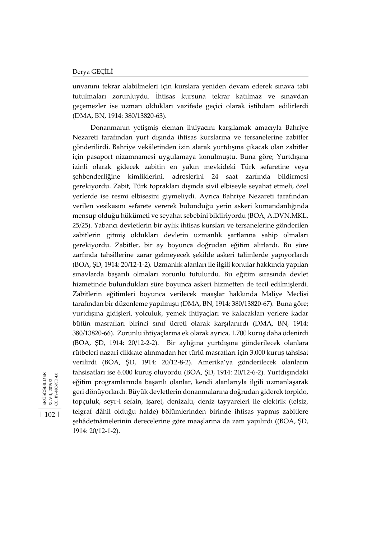| 102 |

ERÜSOSBİLDER<br>XLVII, 2019/2<br>CC: BY-NC-ND 4.0

ERÜSOSBİLDER XLVII, 2019/2 CC: BY-NC-ND 4.0 unvanını tekrar alabilmeleri için kurslara yeniden devam ederek sınava tabi tutulmaları zorunluydu. İhtisas kursuna tekrar katılmaz ve sınavdan geçemezler ise uzman oldukları vazifede geçici olarak istihdam edilirlerdi (DMA, BN, 1914: 380/13820-63).

Donanmanın yetişmiş eleman ihtiyacını karşılamak amacıyla Bahriye Nezareti tarafından yurt dışında ihtisas kurslarına ve tersanelerine zabitler gönderilirdi. Bahriye vekâletinden izin alarak yurtdışına çıkacak olan zabitler için pasaport nizamnamesi uygulamaya konulmuştu. Buna göre; Yurtdışına izinli olarak gidecek zabitin en yakın mevkideki Türk sefaretine veya şehbenderliğine kimliklerini, adreslerini 24 saat zarfında bildirmesi gerekiyordu. Zabit, Türk toprakları dışında sivil elbiseyle seyahat etmeli, özel yerlerde ise resmi elbisesini giymeliydi. Ayrıca Bahriye Nezareti tarafından verilen vesikasını sefarete vererek bulunduğu yerin askeri kumandanlığında mensup olduğu hükümeti ve seyahat sebebini bildiriyordu (BOA, A.DVN.MKL, 25/25). Yabancı devletlerin bir aylık ihtisas kursları ve tersanelerine gönderilen zabitlerin gitmiş oldukları devletin uzmanlık şartlarına sahip olmaları gerekiyordu. Zabitler, bir ay boyunca doğrudan eğitim alırlardı. Bu süre zarfında tahsillerine zarar gelmeyecek şekilde askeri talimlerde yapıyorlardı (BOA, ŞD, 1914: 20/12-1-2). Uzmanlık alanları ile ilgili konular hakkında yapılan sınavlarda başarılı olmaları zorunlu tutulurdu. Bu eğitim sırasında devlet hizmetinde bulundukları süre boyunca askeri hizmetten de tecil edilmişlerdi. Zabitlerin eğitimleri boyunca verilecek maaşlar hakkında Maliye Meclisi tarafından bir düzenleme yapılmıştı (DMA, BN, 1914: 380/13820-67). Buna göre; yurtdışına gidişleri, yolculuk, yemek ihtiyaçları ve kalacakları yerlere kadar bütün masrafları birinci sınıf ücreti olarak karşılanırdı (DMA, BN, 1914: 380/13820-66). Zorunlu ihtiyaçlarına ek olarak ayrıca, 1.700 kuruş daha ödenirdi (BOA, ŞD, 1914: 20/12-2-2). Bir aylığına yurtdışına gönderilecek olanlara rütbeleri nazari dikkate alınmadan her türlü masrafları için 3.000 kuruş tahsisat verilirdi (BOA, ŞD, 1914: 20/12-8-2). Amerika'ya gönderilecek olanların tahsisatları ise 6.000 kuruş oluyordu (BOA, ŞD, 1914: 20/12-6-2). Yurtdışındaki eğitim programlarında başarılı olanlar, kendi alanlarıyla ilgili uzmanlaşarak geri dönüyorlardı. Büyük devletlerin donanmalarına doğrudan giderek torpido, topçuluk, seyr-i sefain, işaret, denizaltı, deniz tayyareleri ile elektrik (telsiz, telgraf dâhil olduğu halde) bölümlerinden birinde ihtisas yapmış zabitlere şehâdetnâmelerinin derecelerine göre maaşlarına da zam yapılırdı ((BOA, ŞD, 1914: 20/12-1-2).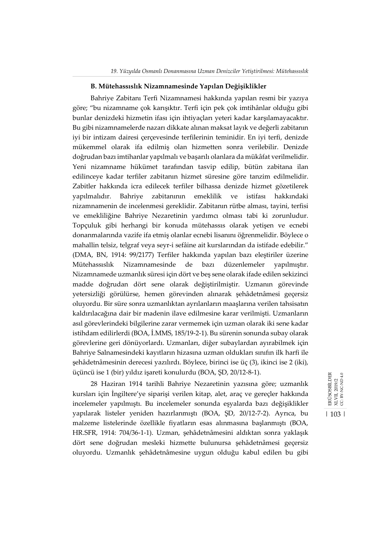#### **B. Mütehassıslık Nizamnamesinde Yapılan Değişiklikler**

Bahriye Zabitanı Terfi Nizamnamesi hakkında yapılan resmi bir yazıya göre; "bu nizamname çok karışıktır. Terfi için pek çok imtihânlar olduğu gibi bunlar denizdeki hizmetin ifası için ihtiyaçları yeteri kadar karşılamayacaktır. Bu gibi nizamnamelerde nazarı dikkate alınan maksat layık ve değerli zabitanın iyi bir intizam dairesi çerçevesinde terfilerinin teminidir. En iyi terfi, denizde mükemmel olarak ifa edilmiş olan hizmetten sonra verilebilir. Denizde doğrudan bazı imtihanlar yapılmalı ve başarılı olanlara da mükâfat verilmelidir. Yeni nizamname hükümet tarafından tasvip edilip, bütün zabitana ilan edilinceye kadar terfiler zabitanın hizmet süresine göre tanzim edilmelidir. Zabitler hakkında icra edilecek terfiler bilhassa denizde hizmet gözetilerek yapılmalıdır. Bahriye zabitanının emeklilik ve istifası hakkındaki nizamnamenin de incelenmesi gereklidir. Zabitanın rütbe alması, tayini, terfisi ve emekliliğine Bahriye Nezaretinin yardımcı olması tabi ki zorunludur. Topçuluk gibi herhangi bir konuda mütehassıs olarak yetişen ve ecnebi donanmalarında vazife ifa etmiş olanlar ecnebi lisanını öğrenmelidir. Böylece o mahallin telsiz, telgraf veya seyr-i sefâine ait kurslarından da istifade edebilir." (DMA, BN, 1914: 99/2177) Terfiler hakkında yapılan bazı eleştiriler üzerine Mütehassıslık Nizamnamesinde de bazı düzenlemeler yapılmıştır. Nizamnamede uzmanlık süresi için dört ve beş sene olarak ifade edilen sekizinci madde doğrudan dört sene olarak değiştirilmiştir. Uzmanın görevinde yetersizliği görülürse, hemen görevinden alınarak şehâdetnâmesi geçersiz oluyordu. Bir süre sonra uzmanlıktan ayrılanların maaşlarına verilen tahsisatın kaldırılacağına dair bir madenin ilave edilmesine karar verilmişti. Uzmanların asıl görevlerindeki bilgilerine zarar vermemek için uzman olarak iki sene kadar istihdam edilirlerdi (BOA, İ.MMS, 185/19-2-1). Bu sürenin sonunda subay olarak görevlerine geri dönüyorlardı. Uzmanları, diğer subaylardan ayırabilmek için Bahriye Salnamesindeki kayıtların hizasına uzman oldukları sınıfın ilk harfi ile şehâdetnâmesinin derecesi yazılırdı. Böylece, birinci ise üç (3), ikinci ise 2 (iki), üçüncü ise 1 (bir) yıldız işareti konulurdu (BOA, ŞD, 20/12-8-1).

28 Haziran 1914 tarihli Bahriye Nezaretinin yazısına göre; uzmanlık kursları için İngiltere'ye siparişi verilen kitap, alet, araç ve gereçler hakkında incelemeler yapılmıştı. Bu incelemeler sonunda eşyalarda bazı değişiklikler yapılarak listeler yeniden hazırlanmıştı (BOA, ŞD, 20/12-7-2). Ayrıca, bu malzeme listelerinde özellikle fiyatların esas alınmasına başlanmıştı (BOA, HR.SFR, 1914: 704/36-1-1). Uzman, şehâdetnâmesini aldıktan sonra yaklaşık dört sene doğrudan mesleki hizmette bulunursa şehâdetnâmesi geçersiz oluyordu. Uzmanlık şehâdetnâmesine uygun olduğu kabul edilen bu gibi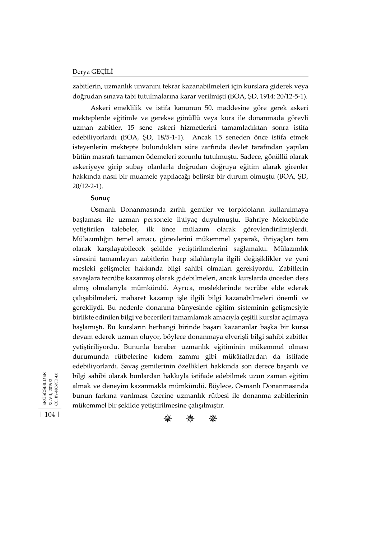zabitlerin, uzmanlık unvanını tekrar kazanabilmeleri için kurslara giderek veya doğrudan sınava tabi tutulmalarına karar verilmişti (BOA, ŞD, 1914: 20/12-5-1).

Askeri emeklilik ve istifa kanunun 50. maddesine göre gerek askeri mekteplerde eğitimle ve gerekse gönüllü veya kura ile donanmada görevli uzman zabitler, 15 sene askeri hizmetlerini tamamladıktan sonra istifa edebiliyorlardı (BOA, ŞD, 18/5-1-1). Ancak 15 seneden önce istifa etmek isteyenlerin mektepte bulundukları süre zarfında devlet tarafından yapılan bütün masrafı tamamen ödemeleri zorunlu tutulmuştu. Sadece, gönüllü olarak askeriyeye girip subay olanlarla doğrudan doğruya eğitim alarak girenler hakkında nasıl bir muamele yapılacağı belirsiz bir durum olmuştu (BOA, ŞD, 20/12-2-1).

#### **Sonuç**

Osmanlı Donanmasında zırhlı gemiler ve torpidoların kullanılmaya başlaması ile uzman personele ihtiyaç duyulmuştu. Bahriye Mektebinde yetiştirilen talebeler, ilk önce mülazım olarak görevlendirilmişlerdi. Mülazımlığın temel amacı, görevlerini mükemmel yaparak, ihtiyaçları tam olarak karşılayabilecek şekilde yetiştirilmelerini sağlamaktı. Mülazımlık süresini tamamlayan zabitlerin harp silahlarıyla ilgili değişiklikler ve yeni mesleki gelişmeler hakkında bilgi sahibi olmaları gerekiyordu. Zabitlerin savaşlara tecrübe kazanmış olarak gidebilmeleri, ancak kurslarda önceden ders almış olmalarıyla mümkündü. Ayrıca, mesleklerinde tecrübe elde ederek çalışabilmeleri, maharet kazanıp işle ilgili bilgi kazanabilmeleri önemli ve gerekliydi. Bu nedenle donanma bünyesinde eğitim sisteminin gelişmesiyle birlikte edinilen bilgi ve becerileri tamamlamak amacıyla çeşitli kurslar açılmaya başlamıştı. Bu kursların herhangi birinde başarı kazananlar başka bir kursa devam ederek uzman oluyor, böylece donanmaya elverişli bilgi sahibi zabitler yetiştiriliyordu. Bununla beraber uzmanlık eğitiminin mükemmel olması durumunda rütbelerine kıdem zammı gibi mükâfatlardan da istifade edebiliyorlardı. Savaş gemilerinin özellikleri hakkında son derece başarılı ve bilgi sahibi olarak bunlardan hakkıyla istifade edebilmek uzun zaman eğitim almak ve deneyim kazanmakla mümkündü. Böylece, Osmanlı Donanmasında bunun farkına varılması üzerine uzmanlık rütbesi ile donanma zabitlerinin mükemmel bir şekilde yetiştirilmesine çalışılmıştır.

XLVII, 2019/2<br>CC: BY-NC-ND 4.0 ERÜSOSBİLDER ERÜSOSBİLDER CC: BY-NC-ND 4.0 XLVII, 2019/2

| 104 |

紫 紫 紫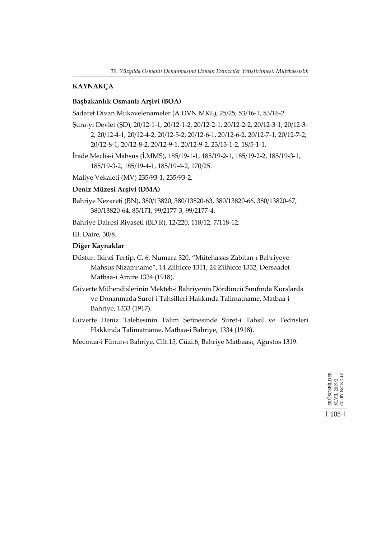## **KAYNAKÇA**

## **Başbakanlık Osmanlı Arşivi (BOA)**

Sadaret Divan Mukavelenameler (A.DVN.MKL), 25/25, 53/16-1, 53/16-2.

- Şura-yı Devlet (ŞD), 20/12-1-1, 20/12-1-2, 20/12-2-1, 20/12-2-2, 20/12-3-1, 20/12-3- 2, 20/12-4-1, 20/12-4-2, 20/12-5-2, 20/12-6-1, 20/12-6-2, 20/12-7-1, 20/12-7-2, 20/12-8-1, 20/12-8-2, 20/12-9-1, 20/12-9-2, 23/13-1-2, 18/5-1-1.
- İrade Meclis-i Mahsus (İ.MMS), 185/19-1-1, 185/19-2-1, 185/19-2-2, 185/19-3-1, 185/19-3-2, 185/19-4-1, 185/19-4-2, 170/25.

Maliye Vekaleti (MV) 235/93-1, 235/93-2.

### **Deniz Müzesi Arşivi (DMA)**

- Bahriye Nezareti (BN), 380/13820, 380/13820-63, 380/13820-66, 380/13820-67, 380/13820-64, 85/171, 99/2177-3, 99/2177-4.
- Bahriye Dairesi Riyaseti (BD.R), 12/220, 118/12, 7/118-12.

III. Daire, 30/8.

## **Diğer Kaynaklar**

- Düstur, İkinci Tertip, C. 6, Numara 320, "Mütehassıs Zabitan-ı Bahriyeye Mahsus Nizamname", 14 Zilhicce 1311, 24 Zilhicce 1332, Dersaadet Matbaa-i Amire 1334 (1918).
- Güverte Mühendislerinin Mekteb-i Bahriyenin Dördüncü Sınıfında Kurslarda ve Donanmada Suret-i Tahsilleri Hakkında Talimatname, Matbaa-i Bahriye, 1333 (1917).
- Güverte Deniz Talebesinin Talim Sefinesinde Suret-i Tahsil ve Tedrisleri Hakkında Talimatname, Matbaa-i Bahriye, 1334 (1918).

Mecmua-i Fünun-ı Bahriye, Cilt.15, Cüzi.6, Bahriye Matbaası, Ağustos 1319.

ERÜSOSBİLDER<br>XLVII, 2019/2<br>CC. BY-NC-ND 4.0 ERÜSOSBİLDER CC: BY-NC-ND 4.0 XLVII, 2019/2 | 105 |